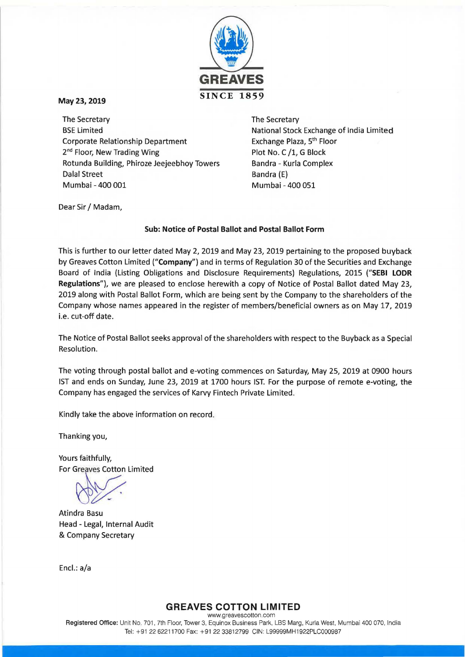

# May23, 2019

The Secretary BSE Limited Corporate Relationship Department 2<sup>nd</sup> Floor, New Trading Wing Rotunda Building, Phiroze Jeejeebhoy Towers Dalal Street Mumbai- 400 001 Mumbai- 400 051

The Secretary National Stock Exchange of India limited Exchange Plaza, 5th Floor Plot No. C /1, G Block Sandra- Kurla Complex Bandra (E)

Dear Sir / Madam,

# Sub: Notice of Postal Ballot and Postal Ballot Form

This is further to our letter dated May 2, 2019 and May 23, 2019 pertaining to the proposed buyback by Greaves Cotton Limited ("Company") and in terms of Regulation 30 of the Securities and Exchange Board of India (Listing Obligations and Disclosure Requirements) Regulations, 2015 ("SEBI LODR Regulations"), we are pleased to enclose herewith a copy of Notice of Postal Ballot dated May 23, 2019 along with Postal Ballot Form, which are being sent by the Company to the shareholders of the Company whose names appeared in the register of members/beneficial owners as on May 17, 2019 i.e. cut-off date.

The Notice of Postal Ballot seeks approval of the shareholders with respect to the Buyback as a Special Resolution.

The voting through postal ballot and e-voting commences on Saturday, May 25, 2019 at 0900 hours 1ST and ends on Sunday, June 23, 2019 at 1700 hours 1ST. For the purpose of remote e-voting, the Company has engaged the services of Karvy Fintech Private limited.

Kindly take the above information on record.

Thanking you,

Yours faithfully, For Greaves Cotton Limited

Atindra Basu Head - Legal, Internal Audit & Company Secretary

Encl.: a/a

# GREAVES COTTON LIMITED

Registered Office: Unit No. 701 , 7th Floor, Tower 3, Equinox Business Park, LBS Marg, Kurla West, Mumbai 400 070, India Tel: +91 22 62211700 Fax: +91 22 33812799 CIN: L99999MH1922PLC000987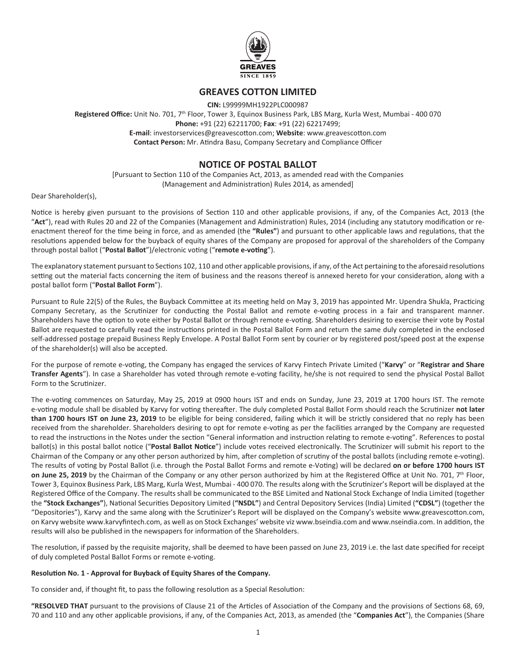

# **GREAVES COTTON LIMITED**

**CIN:** L99999MH1922PLC000987 **Registered Office:** Unit No. 701, 7th Floor, Tower 3, Equinox Business Park, LBS Marg, Kurla West, Mumbai - 400 070 **Phone:** +91 (22) 62211700; **Fax**: +91 (22) 62217499; **E-mail**: investorservices@greavescotton.com; **Website**: www.greavescotton.com **Contact Person:** Mr. Atindra Basu, Company Secretary and Compliance Officer

# **NOTICE OF POSTAL BALLOT**

[Pursuant to Section 110 of the Companies Act, 2013, as amended read with the Companies (Management and Administration) Rules 2014, as amended]

Dear Shareholder(s),

Notice is hereby given pursuant to the provisions of Section 110 and other applicable provisions, if any, of the Companies Act, 2013 (the "**Act**"), read with Rules 20 and 22 of the Companies (Management and Administration) Rules, 2014 (including any statutory modification or reenactment thereof for the time being in force, and as amended (the **"Rules"**) and pursuant to other applicable laws and regulations, that the resolutions appended below for the buyback of equity shares of the Company are proposed for approval of the shareholders of the Company through postal ballot ("**Postal Ballot**")/electronic voting ("**remote e-voting**").

The explanatory statement pursuant to Sections 102, 110 and other applicable provisions, if any, of the Act pertaining to the aforesaid resolutions setting out the material facts concerning the item of business and the reasons thereof is annexed hereto for your consideration, along with a postal ballot form ("**Postal Ballot Form**").

Pursuant to Rule 22(5) of the Rules, the Buyback Committee at its meeting held on May 3, 2019 has appointed Mr. Upendra Shukla, Practicing Company Secretary, as the Scrutinizer for conducting the Postal Ballot and remote e-voting process in a fair and transparent manner. Shareholders have the option to vote either by Postal Ballot or through remote e-voting. Shareholders desiring to exercise their vote by Postal Ballot are requested to carefully read the instructions printed in the Postal Ballot Form and return the same duly completed in the enclosed self-addressed postage prepaid Business Reply Envelope. A Postal Ballot Form sent by courier or by registered post/speed post at the expense of the shareholder(s) will also be accepted.

For the purpose of remote e-voting, the Company has engaged the services of Karvy Fintech Private Limited ("**Karvy**" or "**Registrar and Share Transfer Agents**"). In case a Shareholder has voted through remote e-voting facility, he/she is not required to send the physical Postal Ballot Form to the Scrutinizer.

The e-voting commences on Saturday, May 25, 2019 at 0900 hours IST and ends on Sunday, June 23, 2019 at 1700 hours IST. The remote e-voting module shall be disabled by Karvy for voting thereafter. The duly completed Postal Ballot Form should reach the Scrutinizer **not later than 1700 hours IST on June 23, 2019** to be eligible for being considered, failing which it will be strictly considered that no reply has been received from the shareholder. Shareholders desiring to opt for remote e-voting as per the facilities arranged by the Company are requested to read the instructions in the Notes under the section "General information and instruction relating to remote e-voting". References to postal ballot(s) in this postal ballot notice ("**Postal Ballot Notice**") include votes received electronically. The Scrutinizer will submit his report to the Chairman of the Company or any other person authorized by him, after completion of scrutiny of the postal ballots (including remote e-voting). The results of voting by Postal Ballot (i.e. through the Postal Ballot Forms and remote e-Voting) will be declared **on or before 1700 hours IST on June 25, 2019** by the Chairman of the Company or any other person authorized by him at the Registered Office at Unit No. 701, 7<sup>th</sup> Floor, Tower 3, Equinox Business Park, LBS Marg, Kurla West, Mumbai - 400 070. The results along with the Scrutinizer's Report will be displayed at the Registered Office of the Company. The results shall be communicated to the BSE Limited and National Stock Exchange of India Limited (together the **"Stock Exchanges"**), National Securities Depository Limited (**"NSDL"**) and Central Depository Services (India) Limited (**"CDSL"**) (together the "Depositories"), Karvy and the same along with the Scrutinizer's Report will be displayed on the Company's website www.greavescotton.com, on Karvy website www.karvyfintech.com, as well as on Stock Exchanges' website viz www.bseindia.com and www.nseindia.com. In addition, the results will also be published in the newspapers for information of the Shareholders.

The resolution, if passed by the requisite majority, shall be deemed to have been passed on June 23, 2019 i.e. the last date specified for receipt of duly completed Postal Ballot Forms or remote e-voting.

## **Resolution No. 1 - Approval for Buyback of Equity Shares of the Company.**

To consider and, if thought fit, to pass the following resolution as a Special Resolution:

**"RESOLVED THAT** pursuant to the provisions of Clause 21 of the Articles of Association of the Company and the provisions of Sections 68, 69, 70 and 110 and any other applicable provisions, if any, of the Companies Act, 2013, as amended (the "**Companies Act**"), the Companies (Share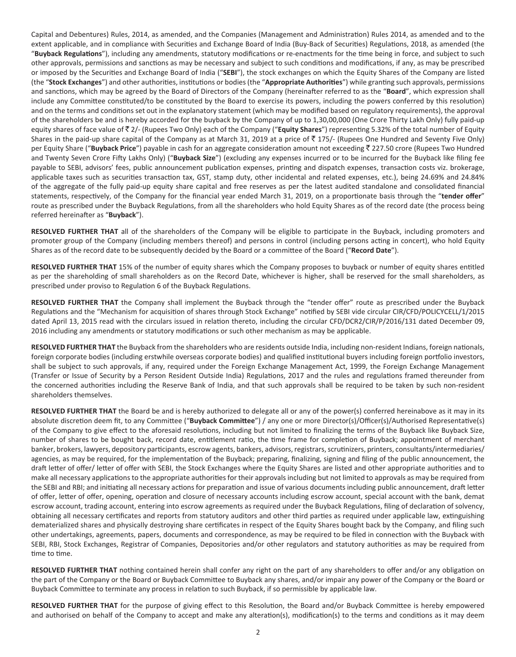Capital and Debentures) Rules, 2014, as amended, and the Companies (Management and Administration) Rules 2014, as amended and to the extent applicable, and in compliance with Securities and Exchange Board of India (Buy-Back of Securities) Regulations, 2018, as amended (the "**Buyback Regulations**"), including any amendments, statutory modifications or re-enactments for the time being in force, and subject to such other approvals, permissions and sanctions as may be necessary and subject to such conditions and modifications, if any, as may be prescribed or imposed by the Securities and Exchange Board of India ("**SEBI**"), the stock exchanges on which the Equity Shares of the Company are listed (the "**Stock Exchanges**") and other authorities, institutions or bodies (the "**Appropriate Authorities**") while granting such approvals, permissions and sanctions, which may be agreed by the Board of Directors of the Company (hereinafter referred to as the "**Board**", which expression shall include any Committee constituted/to be constituted by the Board to exercise its powers, including the powers conferred by this resolution) and on the terms and conditions set out in the explanatory statement (which may be modified based on regulatory requirements), the approval of the shareholders be and is hereby accorded for the buyback by the Company of up to 1,30,00,000 (One Crore Thirty Lakh Only) fully paid-up equity shares of face value of ₹2/- (Rupees Two Only) each of the Company ("**Equity Shares**") representing 5.32% of the total number of Equity Shares in the paid-up share capital of the Company as at March 31, 2019 at a price of  $\bar{z}$  175/- (Rupees One Hundred and Seventy Five Only) per Equity Share ("**Buyback Price**") payable in cash for an aggregate consideration amount not exceeding ₹227.50 crore (Rupees Two Hundred and Twenty Seven Crore Fifty Lakhs Only) ("**Buyback Size**") (excluding any expenses incurred or to be incurred for the Buyback like filing fee payable to SEBI, advisors' fees, public announcement publication expenses, printing and dispatch expenses, transaction costs viz. brokerage, applicable taxes such as securities transaction tax, GST, stamp duty, other incidental and related expenses, etc.), being 24.69% and 24.84% of the aggregate of the fully paid-up equity share capital and free reserves as per the latest audited standalone and consolidated financial statements, respectively, of the Company for the financial year ended March 31, 2019, on a proportionate basis through the "**tender offer**" route as prescribed under the Buyback Regulations, from all the shareholders who hold Equity Shares as of the record date (the process being referred hereinafter as "**Buyback**").

**RESOLVED FURTHER THAT** all of the shareholders of the Company will be eligible to participate in the Buyback, including promoters and promoter group of the Company (including members thereof) and persons in control (including persons acting in concert), who hold Equity Shares as of the record date to be subsequently decided by the Board or a committee of the Board ("**Record Date**").

**RESOLVED FURTHER THAT** 15% of the number of equity shares which the Company proposes to buyback or number of equity shares entitled as per the shareholding of small shareholders as on the Record Date, whichever is higher, shall be reserved for the small shareholders, as prescribed under proviso to Regulation 6 of the Buyback Regulations.

**RESOLVED FURTHER THAT** the Company shall implement the Buyback through the "tender offer" route as prescribed under the Buyback Regulations and the "Mechanism for acquisition of shares through Stock Exchange" notified by SEBI vide circular CIR/CFD/POLICYCELL/1/2015 dated April 13, 2015 read with the circulars issued in relation thereto, including the circular CFD/DCR2/CIR/P/2016/131 dated December 09, 2016 including any amendments or statutory modifications or such other mechanism as may be applicable.

**RESOLVED FURTHER THAT** the Buyback from the shareholders who are residents outside India, including non-resident Indians, foreign nationals, foreign corporate bodies (including erstwhile overseas corporate bodies) and qualified institutional buyers including foreign portfolio investors, shall be subject to such approvals, if any, required under the Foreign Exchange Management Act, 1999, the Foreign Exchange Management (Transfer or Issue of Security by a Person Resident Outside India) Regulations, 2017 and the rules and regulations framed thereunder from the concerned authorities including the Reserve Bank of India, and that such approvals shall be required to be taken by such non-resident shareholders themselves.

**RESOLVED FURTHER THAT** the Board be and is hereby authorized to delegate all or any of the power(s) conferred hereinabove as it may in its absolute discretion deem fit, to any Committee ("**Buyback Committee**") / any one or more Director(s)/Officer(s)/Authorised Representative(s) of the Company to give effect to the aforesaid resolutions, including but not limited to finalizing the terms of the Buyback like Buyback Size, number of shares to be bought back, record date, entitlement ratio, the time frame for completion of Buyback; appointment of merchant banker, brokers, lawyers, depository participants, escrow agents, bankers, advisors, registrars, scrutinizers, printers, consultants/intermediaries/ agencies, as may be required, for the implementation of the Buyback; preparing, finalizing, signing and filing of the public announcement, the draft letter of offer/ letter of offer with SEBI, the Stock Exchanges where the Equity Shares are listed and other appropriate authorities and to make all necessary applications to the appropriate authorities for their approvals including but not limited to approvals as may be required from the SEBI and RBI; and initiating all necessary actions for preparation and issue of various documents including public announcement, draft letter of offer, letter of offer, opening, operation and closure of necessary accounts including escrow account, special account with the bank, demat escrow account, trading account, entering into escrow agreements as required under the Buyback Regulations, filing of declaration of solvency, obtaining all necessary certificates and reports from statutory auditors and other third parties as required under applicable law, extinguishing dematerialized shares and physically destroying share certificates in respect of the Equity Shares bought back by the Company, and filing such other undertakings, agreements, papers, documents and correspondence, as may be required to be filed in connection with the Buyback with SEBI, RBI, Stock Exchanges, Registrar of Companies, Depositories and/or other regulators and statutory authorities as may be required from time to time.

**RESOLVED FURTHER THAT** nothing contained herein shall confer any right on the part of any shareholders to offer and/or any obligation on the part of the Company or the Board or Buyback Committee to Buyback any shares, and/or impair any power of the Company or the Board or Buyback Committee to terminate any process in relation to such Buyback, if so permissible by applicable law.

**RESOLVED FURTHER THAT** for the purpose of giving effect to this Resolution, the Board and/or Buyback Committee is hereby empowered and authorised on behalf of the Company to accept and make any alteration(s), modification(s) to the terms and conditions as it may deem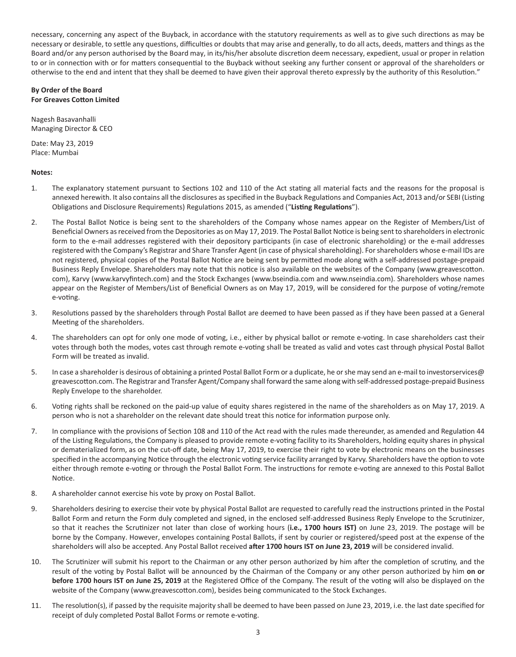necessary, concerning any aspect of the Buyback, in accordance with the statutory requirements as well as to give such directions as may be necessary or desirable, to settle any questions, difficulties or doubts that may arise and generally, to do all acts, deeds, matters and things as the Board and/or any person authorised by the Board may, in its/his/her absolute discretion deem necessary, expedient, usual or proper in relation to or in connection with or for matters consequential to the Buyback without seeking any further consent or approval of the shareholders or otherwise to the end and intent that they shall be deemed to have given their approval thereto expressly by the authority of this Resolution."

## **By Order of the Board For Greaves Cotton Limited**

Nagesh Basavanhalli Managing Director & CEO

Date: May 23, 2019 Place: Mumbai

## **Notes:**

- 1. The explanatory statement pursuant to Sections 102 and 110 of the Act stating all material facts and the reasons for the proposal is annexed herewith. It also contains all the disclosures as specified in the Buyback Regulations and Companies Act, 2013 and/or SEBI (Listing Obligations and Disclosure Requirements) Regulations 2015, as amended ("**Listing Regulations**").
- 2. The Postal Ballot Notice is being sent to the shareholders of the Company whose names appear on the Register of Members/List of Beneficial Owners as received from the Depositories as on May 17, 2019. The Postal Ballot Notice is being sent to shareholders in electronic form to the e-mail addresses registered with their depository participants (in case of electronic shareholding) or the e-mail addresses registered with the Company's Registrar and Share Transfer Agent (in case of physical shareholding). For shareholders whose e-mail IDs are not registered, physical copies of the Postal Ballot Notice are being sent by permitted mode along with a self-addressed postage-prepaid Business Reply Envelope. Shareholders may note that this notice is also available on the websites of the Company (www.greavescotton. com), Karvy (www.karvyfintech.com) and the Stock Exchanges (www.bseindia.com and www.nseindia.com). Shareholders whose names appear on the Register of Members/List of Beneficial Owners as on May 17, 2019, will be considered for the purpose of voting/remote e-voting.
- 3. Resolutions passed by the shareholders through Postal Ballot are deemed to have been passed as if they have been passed at a General Meeting of the shareholders.
- 4. The shareholders can opt for only one mode of voting, i.e., either by physical ballot or remote e-voting. In case shareholders cast their votes through both the modes, votes cast through remote e-voting shall be treated as valid and votes cast through physical Postal Ballot Form will be treated as invalid.
- 5. In case a shareholder is desirous of obtaining a printed Postal Ballot Form or a duplicate, he or she may send an e-mail to investorservices@ greavescotton.com. The Registrar and Transfer Agent/Company shall forward the same along with self-addressed postage-prepaid Business Reply Envelope to the shareholder.
- 6. Voting rights shall be reckoned on the paid-up value of equity shares registered in the name of the shareholders as on May 17, 2019. A person who is not a shareholder on the relevant date should treat this notice for information purpose only.
- 7. In compliance with the provisions of Section 108 and 110 of the Act read with the rules made thereunder, as amended and Regulation 44 of the Listing Regulations, the Company is pleased to provide remote e-voting facility to its Shareholders, holding equity shares in physical or dematerialized form, as on the cut-off date, being May 17, 2019, to exercise their right to vote by electronic means on the businesses specified in the accompanying Notice through the electronic voting service facility arranged by Karvy. Shareholders have the option to vote either through remote e-voting or through the Postal Ballot Form. The instructions for remote e-voting are annexed to this Postal Ballot Notice.
- 8. A shareholder cannot exercise his vote by proxy on Postal Ballot.
- 9. Shareholders desiring to exercise their vote by physical Postal Ballot are requested to carefully read the instructions printed in the Postal Ballot Form and return the Form duly completed and signed, in the enclosed self-addressed Business Reply Envelope to the Scrutinizer, so that it reaches the Scrutinizer not later than close of working hours (**i.e., 1700 hours IST)** on June 23, 2019. The postage will be borne by the Company. However, envelopes containing Postal Ballots, if sent by courier or registered/speed post at the expense of the shareholders will also be accepted. Any Postal Ballot received **after 1700 hours IST on June 23, 2019** will be considered invalid.
- 10. The Scrutinizer will submit his report to the Chairman or any other person authorized by him after the completion of scrutiny, and the result of the voting by Postal Ballot will be announced by the Chairman of the Company or any other person authorized by him **on or before 1700 hours IST on June 25, 2019** at the Registered Office of the Company. The result of the voting will also be displayed on the website of the Company (www.greavescotton.com), besides being communicated to the Stock Exchanges.
- 11. The resolution(s), if passed by the requisite majority shall be deemed to have been passed on June 23, 2019, i.e. the last date specified for receipt of duly completed Postal Ballot Forms or remote e-voting.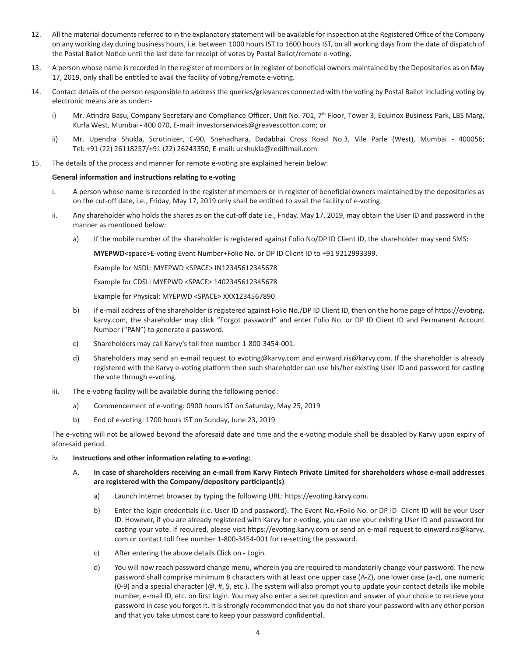- 12. All the material documents referred to in the explanatory statement will be available for inspection at the Registered Office of the Company on any working day during business hours, i.e. between 1000 hours IST to 1600 hours IST, on all working days from the date of dispatch of the Postal Ballot Notice until the last date for receipt of votes by Postal Ballot/remote e-voting.
- 13. A person whose name is recorded in the register of members or in register of beneficial owners maintained by the Depositories as on May 17, 2019, only shall be entitled to avail the facility of voting/remote e-voting.
- 14. Contact details of the person responsible to address the queries/grievances connected with the voting by Postal Ballot including voting by electronic means are as under:
	- i) Mr. Atindra Basu, Company Secretary and Compliance Officer, Unit No. 701, 7th Floor, Tower 3, Equinox Business Park, LBS Marg, Kurla West, Mumbai - 400 070, E-mail: investorservices@greavescotton.com; or
	- ii) Mr. Upendra Shukla, Scrutinizer, C-90, Snehadhara, Dadabhai Cross Road No.3, Vile Parle (West), Mumbai 400056; Tel: +91 (22) 26118257/+91 (22) 26243350; E-mail: ucshukla@rediffmail.com
- 15. The details of the process and manner for remote e-voting are explained herein below:

### **General information and instructions relating to e-voting**

- i. A person whose name is recorded in the register of members or in register of beneficial owners maintained by the depositories as on the cut-off date, i.e., Friday, May 17, 2019 only shall be entitled to avail the facility of e-voting.
- ii. Any shareholder who holds the shares as on the cut-off date i.e., Friday, May 17, 2019, may obtain the User ID and password in the manner as mentioned below:
	- a) If the mobile number of the shareholder is registered against Folio No/DP ID Client ID, the shareholder may send SMS:

**MYEPWD**<space>E-voting Event Number+Folio No. or DP ID Client ID to +91 9212993399.

Example for NSDL: MYEPWD <SPACE> IN12345612345678

Example for CDSL: MYEPWD <SPACE> 1402345612345678

Example for Physical: MYEPWD <SPACE> XXX1234567890

- b) If e-mail address of the shareholder is registered against Folio No./DP ID Client ID, then on the home page of https://evoting. karvy.com, the shareholder may click "Forgot password" and enter Folio No. or DP ID Client ID and Permanent Account Number ("PAN") to generate a password.
- c) Shareholders may call Karvy's toll free number 1-800-3454-001.
- d) Shareholders may send an e-mail request to evoting@karvy.com and einward.ris@karvy.com. If the shareholder is already registered with the Karvy e-voting platform then such shareholder can use his/her existing User ID and password for casting the vote through e-voting.
- iii. The e-voting facility will be available during the following period:
	- a) Commencement of e-voting: 0900 hours IST on Saturday, May 25, 2019
	- b) End of e-voting: 1700 hours IST on Sunday, June 23, 2019

The e-voting will not be allowed beyond the aforesaid date and time and the e-voting module shall be disabled by Karvy upon expiry of aforesaid period.

#### iv. **Instructions and other information relating to e-voting:**

- A. **In case of shareholders receiving an e-mail from Karvy Fintech Private Limited for shareholders whose e-mail addresses are registered with the Company/depository participant(s)**
	- a) Launch internet browser by typing the following URL: https://evoting.karvy.com.
	- b) Enter the login credentials (i.e. User ID and password). The Event No.+Folio No. or DP ID- Client ID will be your User ID. However, if you are already registered with Karvy for e-voting, you can use your existing User ID and password for casting your vote. If required, please visit https://evoting.karvy.com or send an e-mail request to einward.ris@karvy. com or contact toll free number 1-800-3454-001 for re-setting the password.
	- c) After entering the above details Click on Login.
	- d) You will now reach password change menu, wherein you are required to mandatorily change your password. The new password shall comprise minimum 8 characters with at least one upper case (A-Z), one lower case (a-z), one numeric (0-9) and a special character ( $\omega$ , #, \$, etc.). The system will also prompt you to update your contact details like mobile number, e-mail ID, etc. on first login. You may also enter a secret question and answer of your choice to retrieve your password in case you forget it. It is strongly recommended that you do not share your password with any other person and that you take utmost care to keep your password confidential.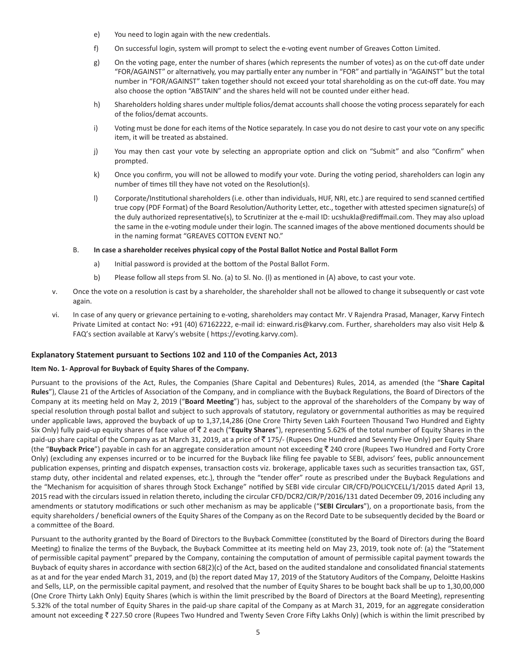- e) You need to login again with the new credentials.
- f) On successful login, system will prompt to select the e-voting event number of Greaves Cotton Limited.
- g) On the voting page, enter the number of shares (which represents the number of votes) as on the cut-off date under "FOR/AGAINST" or alternatively, you may partially enter any number in "FOR" and partially in "AGAINST" but the total number in "FOR/AGAINST" taken together should not exceed your total shareholding as on the cut-off date. You may also choose the option "ABSTAIN" and the shares held will not be counted under either head.
- h) Shareholders holding shares under multiple folios/demat accounts shall choose the voting process separately for each of the folios/demat accounts.
- i) Voting must be done for each items of the Notice separately. In case you do not desire to cast your vote on any specific item, it will be treated as abstained.
- j) You may then cast your vote by selecting an appropriate option and click on "Submit" and also "Confirm" when prompted.
- k) Once you confirm, you will not be allowed to modify your vote. During the voting period, shareholders can login any number of times till they have not voted on the Resolution(s).
- l) Corporate/Institutional shareholders (i.e. other than individuals, HUF, NRI, etc.) are required to send scanned certified true copy (PDF Format) of the Board Resolution/Authority Letter, etc., together with attested specimen signature(s) of the duly authorized representative(s), to Scrutinizer at the e-mail ID: ucshukla@rediffmail.com. They may also upload the same in the e-voting module under their login. The scanned images of the above mentioned documents should be in the naming format "GREAVES COTTON EVENT NO."

### B. **In case a shareholder receives physical copy of the Postal Ballot Notice and Postal Ballot Form**

- a) Initial password is provided at the bottom of the Postal Ballot Form.
- b) Please follow all steps from Sl. No. (a) to Sl. No. (l) as mentioned in (A) above, to cast your vote.
- v. Once the vote on a resolution is cast by a shareholder, the shareholder shall not be allowed to change it subsequently or cast vote again.
- vi. In case of any query or grievance pertaining to e-voting, shareholders may contact Mr. V Rajendra Prasad, Manager, Karvy Fintech Private Limited at contact No: +91 (40) 67162222, e-mail id: einward.ris@karvy.com. Further, shareholders may also visit Help & FAQ's section available at Karvy's website ( https://evoting.karvy.com).

## **Explanatory Statement pursuant to Sections 102 and 110 of the Companies Act, 2013**

## **Item No. 1- Approval for Buyback of Equity Shares of the Company.**

Pursuant to the provisions of the Act, Rules, the Companies (Share Capital and Debentures) Rules, 2014, as amended (the "**Share Capital Rules**"), Clause 21 of the Articles of Association of the Company, and in compliance with the Buyback Regulations, the Board of Directors of the Company at its meeting held on May 2, 2019 ("**Board Meeting**") has, subject to the approval of the shareholders of the Company by way of special resolution through postal ballot and subject to such approvals of statutory, regulatory or governmental authorities as may be required under applicable laws, approved the buyback of up to 1,37,14,286 (One Crore Thirty Seven Lakh Fourteen Thousand Two Hundred and Eighty Six Only) fully paid-up equity shares of face value of ₹ 2 each ("Equity Shares"), representing 5.62% of the total number of Equity Shares in the paid-up share capital of the Company as at March 31, 2019, at a price of  $\bar{\tau}$  175/- (Rupees One Hundred and Seventy Five Only) per Equity Share (the "Buyback Price") payable in cash for an aggregate consideration amount not exceeding ₹ 240 crore (Rupees Two Hundred and Forty Crore Only) (excluding any expenses incurred or to be incurred for the Buyback like filing fee payable to SEBI, advisors' fees, public announcement publication expenses, printing and dispatch expenses, transaction costs viz. brokerage, applicable taxes such as securities transaction tax, GST, stamp duty, other incidental and related expenses, etc.), through the "tender offer" route as prescribed under the Buyback Regulations and the "Mechanism for acquisition of shares through Stock Exchange" notified by SEBI vide circular CIR/CFD/POLICYCELL/1/2015 dated April 13, 2015 read with the circulars issued in relation thereto, including the circular CFD/DCR2/CIR/P/2016/131 dated December 09, 2016 including any amendments or statutory modifications or such other mechanism as may be applicable ("**SEBI Circulars**"), on a proportionate basis, from the equity shareholders / beneficial owners of the Equity Shares of the Company as on the Record Date to be subsequently decided by the Board or a committee of the Board.

Pursuant to the authority granted by the Board of Directors to the Buyback Committee (constituted by the Board of Directors during the Board Meeting) to finalize the terms of the Buyback, the Buyback Committee at its meeting held on May 23, 2019, took note of: (a) the "Statement of permissible capital payment" prepared by the Company, containing the computation of amount of permissible capital payment towards the Buyback of equity shares in accordance with section 68(2)(c) of the Act, based on the audited standalone and consolidated financial statements as at and for the year ended March 31, 2019, and (b) the report dated May 17, 2019 of the Statutory Auditors of the Company, Deloitte Haskins and Sells, LLP, on the permissible capital payment, and resolved that the number of Equity Shares to be bought back shall be up to 1,30,00,000 (One Crore Thirty Lakh Only) Equity Shares (which is within the limit prescribed by the Board of Directors at the Board Meeting), representing 5.32% of the total number of Equity Shares in the paid-up share capital of the Company as at March 31, 2019, for an aggregate consideration amount not exceeding ₹ 227.50 crore (Rupees Two Hundred and Twenty Seven Crore Fifty Lakhs Only) (which is within the limit prescribed by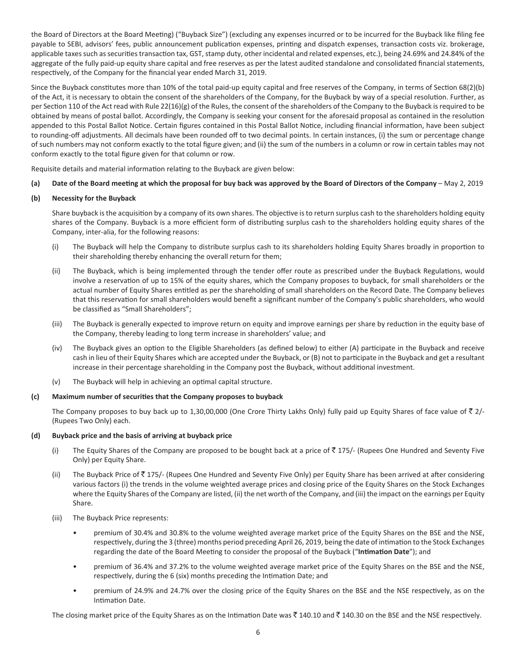the Board of Directors at the Board Meeting) ("Buyback Size") (excluding any expenses incurred or to be incurred for the Buyback like filing fee payable to SEBI, advisors' fees, public announcement publication expenses, printing and dispatch expenses, transaction costs viz. brokerage, applicable taxes such as securities transaction tax, GST, stamp duty, other incidental and related expenses, etc.), being 24.69% and 24.84% of the aggregate of the fully paid-up equity share capital and free reserves as per the latest audited standalone and consolidated financial statements, respectively, of the Company for the financial year ended March 31, 2019.

Since the Buyback constitutes more than 10% of the total paid-up equity capital and free reserves of the Company, in terms of Section 68(2)(b) of the Act, it is necessary to obtain the consent of the shareholders of the Company, for the Buyback by way of a special resolution. Further, as per Section 110 of the Act read with Rule 22(16)(g) of the Rules, the consent of the shareholders of the Company to the Buyback is required to be obtained by means of postal ballot. Accordingly, the Company is seeking your consent for the aforesaid proposal as contained in the resolution appended to this Postal Ballot Notice. Certain figures contained in this Postal Ballot Notice, including financial information, have been subject to rounding-off adjustments. All decimals have been rounded off to two decimal points. In certain instances, (i) the sum or percentage change of such numbers may not conform exactly to the total figure given; and (ii) the sum of the numbers in a column or row in certain tables may not conform exactly to the total figure given for that column or row.

Requisite details and material information relating to the Buyback are given below:

## **(a) Date of the Board meeting at which the proposal for buy back was approved by the Board of Directors of the Company** – May 2, 2019

## **(b) Necessity for the Buyback**

Share buyback is the acquisition by a company of its own shares. The objective is to return surplus cash to the shareholders holding equity shares of the Company. Buyback is a more efficient form of distributing surplus cash to the shareholders holding equity shares of the Company, inter-alia, for the following reasons:

- (i) The Buyback will help the Company to distribute surplus cash to its shareholders holding Equity Shares broadly in proportion to their shareholding thereby enhancing the overall return for them;
- (ii) The Buyback, which is being implemented through the tender offer route as prescribed under the Buyback Regulations, would involve a reservation of up to 15% of the equity shares, which the Company proposes to buyback, for small shareholders or the actual number of Equity Shares entitled as per the shareholding of small shareholders on the Record Date. The Company believes that this reservation for small shareholders would benefit a significant number of the Company's public shareholders, who would be classified as "Small Shareholders";
- (iii) The Buyback is generally expected to improve return on equity and improve earnings per share by reduction in the equity base of the Company, thereby leading to long term increase in shareholders' value; and
- (iv) The Buyback gives an option to the Eligible Shareholders (as defined below) to either (A) participate in the Buyback and receive cash in lieu of their Equity Shares which are accepted under the Buyback, or (B) not to participate in the Buyback and get a resultant increase in their percentage shareholding in the Company post the Buyback, without additional investment.
- (v) The Buyback will help in achieving an optimal capital structure.

#### **(c) Maximum number of securities that the Company proposes to buyback**

The Company proposes to buy back up to 1,30,00,000 (One Crore Thirty Lakhs Only) fully paid up Equity Shares of face value of  $\bar{z}$  2/-(Rupees Two Only) each.

## **(d) Buyback price and the basis of arriving at buyback price**

- (i) The Equity Shares of the Company are proposed to be bought back at a price of  $\bar{z}$  175/- (Rupees One Hundred and Seventy Five Only) per Equity Share.
- (ii) The Buyback Price of  $\bar{z}$  175/- (Rupees One Hundred and Seventy Five Only) per Equity Share has been arrived at after considering various factors (i) the trends in the volume weighted average prices and closing price of the Equity Shares on the Stock Exchanges where the Equity Shares of the Company are listed, (ii) the net worth of the Company, and (iii) the impact on the earnings per Equity Share.
- (iii) The Buyback Price represents:
	- premium of 30.4% and 30.8% to the volume weighted average market price of the Equity Shares on the BSE and the NSE, respectively, during the 3 (three) months period preceding April 26, 2019, being the date of intimation to the Stock Exchanges regarding the date of the Board Meeting to consider the proposal of the Buyback ("**Intimation Date**"); and
	- premium of 36.4% and 37.2% to the volume weighted average market price of the Equity Shares on the BSE and the NSE, respectively, during the 6 (six) months preceding the Intimation Date; and
	- premium of 24.9% and 24.7% over the closing price of the Equity Shares on the BSE and the NSE respectively, as on the Intimation Date.

The closing market price of the Equity Shares as on the Intimation Date was  $\bar{\xi}$  140.10 and  $\bar{\xi}$  140.30 on the BSE and the NSE respectively.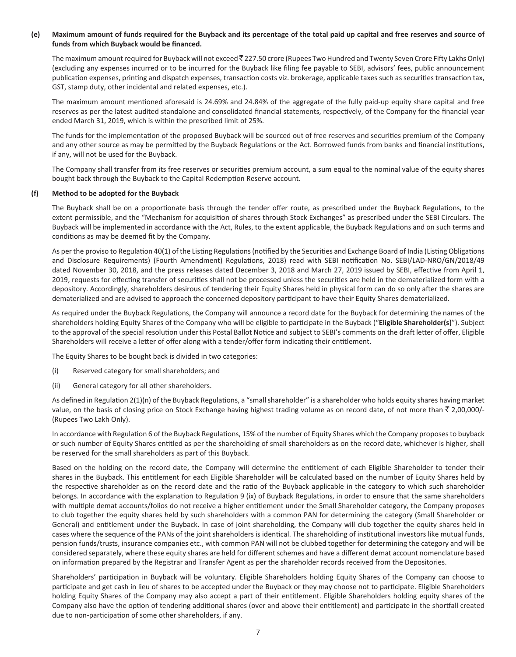## **(e) Maximum amount of funds required for the Buyback and its percentage of the total paid up capital and free reserves and source of funds from which Buyback would be financed.**

The maximum amount required for Buyback will not exceed  $\bar{z}$  227.50 crore (Rupees Two Hundred and Twenty Seven Crore Fifty Lakhs Only) (excluding any expenses incurred or to be incurred for the Buyback like filing fee payable to SEBI, advisors' fees, public announcement publication expenses, printing and dispatch expenses, transaction costs viz. brokerage, applicable taxes such as securities transaction tax, GST, stamp duty, other incidental and related expenses, etc.).

The maximum amount mentioned aforesaid is 24.69% and 24.84% of the aggregate of the fully paid-up equity share capital and free reserves as per the latest audited standalone and consolidated financial statements, respectively, of the Company for the financial year ended March 31, 2019, which is within the prescribed limit of 25%.

The funds for the implementation of the proposed Buyback will be sourced out of free reserves and securities premium of the Company and any other source as may be permitted by the Buyback Regulations or the Act. Borrowed funds from banks and financial institutions, if any, will not be used for the Buyback.

The Company shall transfer from its free reserves or securities premium account, a sum equal to the nominal value of the equity shares bought back through the Buyback to the Capital Redemption Reserve account.

### **(f) Method to be adopted for the Buyback**

The Buyback shall be on a proportionate basis through the tender offer route, as prescribed under the Buyback Regulations, to the extent permissible, and the "Mechanism for acquisition of shares through Stock Exchanges" as prescribed under the SEBI Circulars. The Buyback will be implemented in accordance with the Act, Rules, to the extent applicable, the Buyback Regulations and on such terms and conditions as may be deemed fit by the Company.

As per the proviso to Regulation 40(1) of the Listing Regulations (notified by the Securities and Exchange Board of India (Listing Obligations and Disclosure Requirements) (Fourth Amendment) Regulations, 2018) read with SEBI notification No. SEBI/LAD-NRO/GN/2018/49 dated November 30, 2018, and the press releases dated December 3, 2018 and March 27, 2019 issued by SEBI, effective from April 1, 2019, requests for effecting transfer of securities shall not be processed unless the securities are held in the dematerialized form with a depository. Accordingly, shareholders desirous of tendering their Equity Shares held in physical form can do so only after the shares are dematerialized and are advised to approach the concerned depository participant to have their Equity Shares dematerialized.

As required under the Buyback Regulations, the Company will announce a record date for the Buyback for determining the names of the shareholders holding Equity Shares of the Company who will be eligible to participate in the Buyback ("**Eligible Shareholder(s)**"). Subject to the approval of the special resolution under this Postal Ballot Notice and subject to SEBI's comments on the draft letter of offer, Eligible Shareholders will receive a letter of offer along with a tender/offer form indicating their entitlement.

The Equity Shares to be bought back is divided in two categories:

- (i) Reserved category for small shareholders; and
- (ii) General category for all other shareholders.

As defined in Regulation 2(1)(n) of the Buyback Regulations, a "small shareholder" is a shareholder who holds equity shares having market value, on the basis of closing price on Stock Exchange having highest trading volume as on record date, of not more than  $\bar{z}$  2,00,000/-(Rupees Two Lakh Only).

In accordance with Regulation 6 of the Buyback Regulations, 15% of the number of Equity Shares which the Company proposes to buyback or such number of Equity Shares entitled as per the shareholding of small shareholders as on the record date, whichever is higher, shall be reserved for the small shareholders as part of this Buyback.

Based on the holding on the record date, the Company will determine the entitlement of each Eligible Shareholder to tender their shares in the Buyback. This entitlement for each Eligible Shareholder will be calculated based on the number of Equity Shares held by the respective shareholder as on the record date and the ratio of the Buyback applicable in the category to which such shareholder belongs. In accordance with the explanation to Regulation 9 (ix) of Buyback Regulations, in order to ensure that the same shareholders with multiple demat accounts/folios do not receive a higher entitlement under the Small Shareholder category, the Company proposes to club together the equity shares held by such shareholders with a common PAN for determining the category (Small Shareholder or General) and entitlement under the Buyback. In case of joint shareholding, the Company will club together the equity shares held in cases where the sequence of the PANs of the joint shareholders is identical. The shareholding of institutional investors like mutual funds, pension funds/trusts, insurance companies etc., with common PAN will not be clubbed together for determining the category and will be considered separately, where these equity shares are held for different schemes and have a different demat account nomenclature based on information prepared by the Registrar and Transfer Agent as per the shareholder records received from the Depositories.

Shareholders' participation in Buyback will be voluntary. Eligible Shareholders holding Equity Shares of the Company can choose to participate and get cash in lieu of shares to be accepted under the Buyback or they may choose not to participate. Eligible Shareholders holding Equity Shares of the Company may also accept a part of their entitlement. Eligible Shareholders holding equity shares of the Company also have the option of tendering additional shares (over and above their entitlement) and participate in the shortfall created due to non-participation of some other shareholders, if any.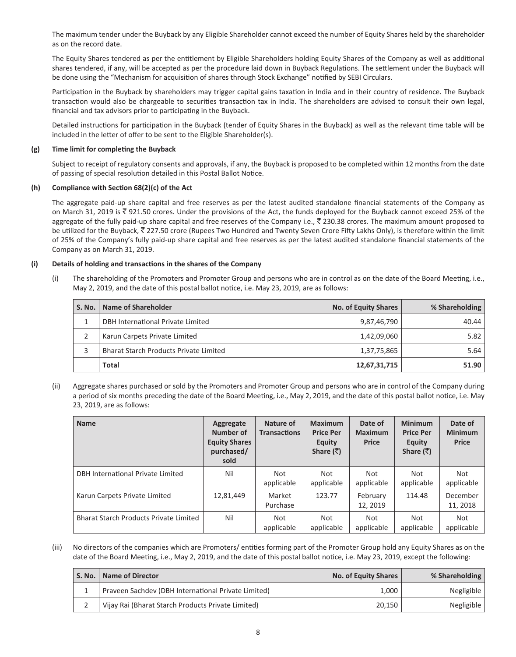The maximum tender under the Buyback by any Eligible Shareholder cannot exceed the number of Equity Shares held by the shareholder as on the record date.

The Equity Shares tendered as per the entitlement by Eligible Shareholders holding Equity Shares of the Company as well as additional shares tendered, if any, will be accepted as per the procedure laid down in Buyback Regulations. The settlement under the Buyback will be done using the "Mechanism for acquisition of shares through Stock Exchange" notified by SEBI Circulars.

Participation in the Buyback by shareholders may trigger capital gains taxation in India and in their country of residence. The Buyback transaction would also be chargeable to securities transaction tax in India. The shareholders are advised to consult their own legal, financial and tax advisors prior to participating in the Buyback.

Detailed instructions for participation in the Buyback (tender of Equity Shares in the Buyback) as well as the relevant time table will be included in the letter of offer to be sent to the Eligible Shareholder(s).

## **(g) Time limit for completing the Buyback**

Subject to receipt of regulatory consents and approvals, if any, the Buyback is proposed to be completed within 12 months from the date of passing of special resolution detailed in this Postal Ballot Notice.

## **(h) Compliance with Section 68(2)(c) of the Act**

The aggregate paid-up share capital and free reserves as per the latest audited standalone financial statements of the Company as on March 31, 2019 is  $\bar{\tau}$  921.50 crores. Under the provisions of the Act, the funds deployed for the Buyback cannot exceed 25% of the aggregate of the fully paid-up share capital and free reserves of the Company i.e.,  $\bar{\xi}$  230.38 crores. The maximum amount proposed to be utilized for the Buyback, ₹227.50 crore (Rupees Two Hundred and Twenty Seven Crore Fifty Lakhs Only), is therefore within the limit of 25% of the Company's fully paid-up share capital and free reserves as per the latest audited standalone financial statements of the Company as on March 31, 2019.

## **(i) Details of holding and transactions in the shares of the Company**

(i) The shareholding of the Promoters and Promoter Group and persons who are in control as on the date of the Board Meeting, i.e., May 2, 2019, and the date of this postal ballot notice, i.e. May 23, 2019, are as follows:

| S. No. | Name of Shareholder                           | No. of Equity Shares | % Shareholding |
|--------|-----------------------------------------------|----------------------|----------------|
|        | DBH International Private Limited             | 9,87,46,790          | 40.44          |
|        | Karun Carpets Private Limited                 | 1,42,09,060          | 5.82           |
|        | <b>Bharat Starch Products Private Limited</b> | 1,37,75,865          | 5.64           |
|        | <b>Total</b>                                  | 12,67,31,715         | 51.90          |

(ii) Aggregate shares purchased or sold by the Promoters and Promoter Group and persons who are in control of the Company during a period of six months preceding the date of the Board Meeting, i.e., May 2, 2019, and the date of this postal ballot notice, i.e. May 23, 2019, are as follows:

| <b>Name</b>                            | Aggregate<br>Number of<br><b>Equity Shares</b><br>purchased/<br>sold | Nature of<br><b>Transactions</b> | <b>Maximum</b><br><b>Price Per</b><br><b>Equity</b><br>Share $(\bar{\bar{\zeta}})$ | Date of<br><b>Maximum</b><br>Price | <b>Minimum</b><br><b>Price Per</b><br><b>Equity</b><br>Share $(\bar{\bar{\zeta}})$ | Date of<br><b>Minimum</b><br><b>Price</b> |
|----------------------------------------|----------------------------------------------------------------------|----------------------------------|------------------------------------------------------------------------------------|------------------------------------|------------------------------------------------------------------------------------|-------------------------------------------|
| DBH International Private Limited      | Nil                                                                  | Not<br>applicable                | <b>Not</b><br>applicable                                                           | Not<br>applicable                  | Not<br>applicable                                                                  | Not<br>applicable                         |
| Karun Carpets Private Limited          | 12,81,449                                                            | Market<br>Purchase               | 123.77                                                                             | February<br>12, 2019               | 114.48                                                                             | December<br>11, 2018                      |
| Bharat Starch Products Private Limited | Nil                                                                  | Not<br>applicable                | <b>Not</b><br>applicable                                                           | Not<br>applicable                  | Not<br>applicable                                                                  | Not<br>applicable                         |

(iii) No directors of the companies which are Promoters/ entities forming part of the Promoter Group hold any Equity Shares as on the date of the Board Meeting, i.e., May 2, 2019, and the date of this postal ballot notice, i.e. May 23, 2019, except the following:

| S. No. | <b>Name of Director</b>                             | No. of Equity Shares | % Shareholding |
|--------|-----------------------------------------------------|----------------------|----------------|
|        | Praveen Sachdev (DBH International Private Limited) | 1,000                | Negligible     |
|        | Vijay Rai (Bharat Starch Products Private Limited)  | 20,150               | Negligible     |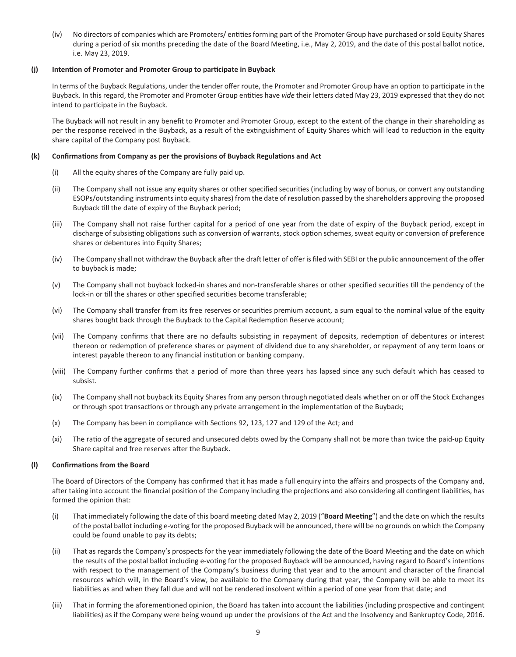(iv) No directors of companies which are Promoters/ entities forming part of the Promoter Group have purchased or sold Equity Shares during a period of six months preceding the date of the Board Meeting, i.e., May 2, 2019, and the date of this postal ballot notice, i.e. May 23, 2019.

## **(j) Intention of Promoter and Promoter Group to participate in Buyback**

In terms of the Buyback Regulations, under the tender offer route, the Promoter and Promoter Group have an option to participate in the Buyback. In this regard, the Promoter and Promoter Group entities have *vide* their letters dated May 23, 2019 expressed that they do not intend to participate in the Buyback.

The Buyback will not result in any benefit to Promoter and Promoter Group, except to the extent of the change in their shareholding as per the response received in the Buyback, as a result of the extinguishment of Equity Shares which will lead to reduction in the equity share capital of the Company post Buyback.

## **(k) Confirmations from Company as per the provisions of Buyback Regulations and Act**

- (i) All the equity shares of the Company are fully paid up.
- (ii) The Company shall not issue any equity shares or other specified securities (including by way of bonus, or convert any outstanding ESOPs/outstanding instruments into equity shares) from the date of resolution passed by the shareholders approving the proposed Buyback till the date of expiry of the Buyback period;
- (iii) The Company shall not raise further capital for a period of one year from the date of expiry of the Buyback period, except in discharge of subsisting obligations such as conversion of warrants, stock option schemes, sweat equity or conversion of preference shares or debentures into Equity Shares;
- (iv) The Company shall not withdraw the Buyback after the draft letter of offer is filed with SEBI or the public announcement of the offer to buyback is made;
- (v) The Company shall not buyback locked-in shares and non-transferable shares or other specified securities till the pendency of the lock-in or till the shares or other specified securities become transferable;
- (vi) The Company shall transfer from its free reserves or securities premium account, a sum equal to the nominal value of the equity shares bought back through the Buyback to the Capital Redemption Reserve account;
- (vii) The Company confirms that there are no defaults subsisting in repayment of deposits, redemption of debentures or interest thereon or redemption of preference shares or payment of dividend due to any shareholder, or repayment of any term loans or interest payable thereon to any financial institution or banking company.
- (viii) The Company further confirms that a period of more than three years has lapsed since any such default which has ceased to subsist.
- (ix) The Company shall not buyback its Equity Shares from any person through negotiated deals whether on or off the Stock Exchanges or through spot transactions or through any private arrangement in the implementation of the Buyback;
- (x) The Company has been in compliance with Sections 92, 123, 127 and 129 of the Act; and
- (xi) The ratio of the aggregate of secured and unsecured debts owed by the Company shall not be more than twice the paid-up Equity Share capital and free reserves after the Buyback.

## **(l) Confirmations from the Board**

The Board of Directors of the Company has confirmed that it has made a full enquiry into the affairs and prospects of the Company and, after taking into account the financial position of the Company including the projections and also considering all contingent liabilities, has formed the opinion that:

- (i) That immediately following the date of this board meeting dated May 2, 2019 ("**Board Meeting**") and the date on which the results of the postal ballot including e-voting for the proposed Buyback will be announced, there will be no grounds on which the Company could be found unable to pay its debts;
- (ii) That as regards the Company's prospects for the year immediately following the date of the Board Meeting and the date on which the results of the postal ballot including e-voting for the proposed Buyback will be announced, having regard to Board's intentions with respect to the management of the Company's business during that year and to the amount and character of the financial resources which will, in the Board's view, be available to the Company during that year, the Company will be able to meet its liabilities as and when they fall due and will not be rendered insolvent within a period of one year from that date; and
- (iii) That in forming the aforementioned opinion, the Board has taken into account the liabilities (including prospective and contingent liabilities) as if the Company were being wound up under the provisions of the Act and the Insolvency and Bankruptcy Code, 2016.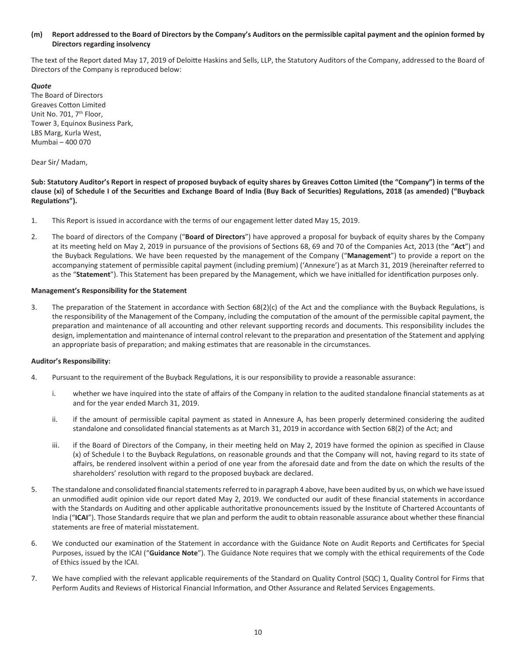## **(m) Report addressed to the Board of Directors by the Company's Auditors on the permissible capital payment and the opinion formed by Directors regarding insolvency**

The text of the Report dated May 17, 2019 of Deloitte Haskins and Sells, LLP, the Statutory Auditors of the Company, addressed to the Board of Directors of the Company is reproduced below:

*Quote* The Board of Directors Greaves Cotton Limited Unit No. 701, 7<sup>th</sup> Floor, Tower 3, Equinox Business Park, LBS Marg, Kurla West, Mumbai – 400 070

Dear Sir/ Madam,

**Sub: Statutory Auditor's Report in respect of proposed buyback of equity shares by Greaves Cotton Limited (the "Company") in terms of the clause (xi) of Schedule I of the Securities and Exchange Board of India (Buy Back of Securities) Regulations, 2018 (as amended) ("Buyback Regulations").**

- 1. This Report is issued in accordance with the terms of our engagement letter dated May 15, 2019.
- 2. The board of directors of the Company ("**Board of Directors**") have approved a proposal for buyback of equity shares by the Company at its meeting held on May 2, 2019 in pursuance of the provisions of Sections 68, 69 and 70 of the Companies Act, 2013 (the "**Act**") and the Buyback Regulations. We have been requested by the management of the Company ("**Management**") to provide a report on the accompanying statement of permissible capital payment (including premium) ('Annexure') as at March 31, 2019 (hereinafter referred to as the "**Statement**"). This Statement has been prepared by the Management, which we have initialled for identification purposes only.

### **Management's Responsibility for the Statement**

3. The preparation of the Statement in accordance with Section 68(2)(c) of the Act and the compliance with the Buyback Regulations, is the responsibility of the Management of the Company, including the computation of the amount of the permissible capital payment, the preparation and maintenance of all accounting and other relevant supporting records and documents. This responsibility includes the design, implementation and maintenance of internal control relevant to the preparation and presentation of the Statement and applying an appropriate basis of preparation; and making estimates that are reasonable in the circumstances.

#### **Auditor's Responsibility:**

- 4. Pursuant to the requirement of the Buyback Regulations, it is our responsibility to provide a reasonable assurance:
	- i. whether we have inquired into the state of affairs of the Company in relation to the audited standalone financial statements as at and for the year ended March 31, 2019.
	- ii. if the amount of permissible capital payment as stated in Annexure A, has been properly determined considering the audited standalone and consolidated financial statements as at March 31, 2019 in accordance with Section 68(2) of the Act; and
	- iii. if the Board of Directors of the Company, in their meeting held on May 2, 2019 have formed the opinion as specified in Clause (x) of Schedule I to the Buyback Regulations, on reasonable grounds and that the Company will not, having regard to its state of affairs, be rendered insolvent within a period of one year from the aforesaid date and from the date on which the results of the shareholders' resolution with regard to the proposed buyback are declared.
- 5. The standalone and consolidated financial statements referred to in paragraph 4 above, have been audited by us, on which we have issued an unmodified audit opinion vide our report dated May 2, 2019. We conducted our audit of these financial statements in accordance with the Standards on Auditing and other applicable authoritative pronouncements issued by the Institute of Chartered Accountants of India ("**ICAI**"). Those Standards require that we plan and perform the audit to obtain reasonable assurance about whether these financial statements are free of material misstatement.
- 6. We conducted our examination of the Statement in accordance with the Guidance Note on Audit Reports and Certificates for Special Purposes, issued by the ICAI ("**Guidance Note**"). The Guidance Note requires that we comply with the ethical requirements of the Code of Ethics issued by the ICAI.
- 7. We have complied with the relevant applicable requirements of the Standard on Quality Control (SQC) 1, Quality Control for Firms that Perform Audits and Reviews of Historical Financial Information, and Other Assurance and Related Services Engagements.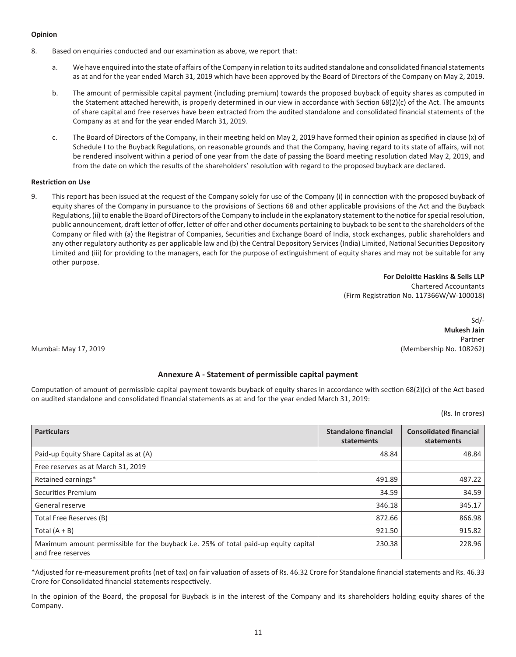## **Opinion**

- 8. Based on enquiries conducted and our examination as above, we report that:
	- a. We have enquired into the state of affairs of the Company in relation to its audited standalone and consolidated financial statements as at and for the year ended March 31, 2019 which have been approved by the Board of Directors of the Company on May 2, 2019.
	- b. The amount of permissible capital payment (including premium) towards the proposed buyback of equity shares as computed in the Statement attached herewith, is properly determined in our view in accordance with Section 68(2)(c) of the Act. The amounts of share capital and free reserves have been extracted from the audited standalone and consolidated financial statements of the Company as at and for the year ended March 31, 2019.
	- c. The Board of Directors of the Company, in their meeting held on May 2, 2019 have formed their opinion as specified in clause (x) of Schedule I to the Buyback Regulations, on reasonable grounds and that the Company, having regard to its state of affairs, will not be rendered insolvent within a period of one year from the date of passing the Board meeting resolution dated May 2, 2019, and from the date on which the results of the shareholders' resolution with regard to the proposed buyback are declared.

## **Restriction on Use**

9. This report has been issued at the request of the Company solely for use of the Company (i) in connection with the proposed buyback of equity shares of the Company in pursuance to the provisions of Sections 68 and other applicable provisions of the Act and the Buyback Regulations, (ii) to enable the Board of Directors of the Company to include in the explanatory statement to the notice for special resolution, public announcement, draft letter of offer, letter of offer and other documents pertaining to buyback to be sent to the shareholders of the Company or filed with (a) the Registrar of Companies, Securities and Exchange Board of India, stock exchanges, public shareholders and any other regulatory authority as per applicable law and (b) the Central Depository Services (India) Limited, National Securities Depository Limited and (iii) for providing to the managers, each for the purpose of extinguishment of equity shares and may not be suitable for any other purpose.

> **For Deloitte Haskins & Sells LLP** Chartered Accountants (Firm Registration No. 117366W/W-100018)

Sd/- **Mukesh Jain** Partner Mumbai: May 17, 2019 (Membership No. 108262)

## **Annexure A - Statement of permissible capital payment**

Computation of amount of permissible capital payment towards buyback of equity shares in accordance with section 68(2)(c) of the Act based on audited standalone and consolidated financial statements as at and for the year ended March 31, 2019:

(Rs. In crores)

| <b>Particulars</b>                                                                                       | <b>Standalone financial</b><br>statements | <b>Consolidated financial</b><br>statements |
|----------------------------------------------------------------------------------------------------------|-------------------------------------------|---------------------------------------------|
| Paid-up Equity Share Capital as at (A)                                                                   | 48.84                                     | 48.84                                       |
| Free reserves as at March 31, 2019                                                                       |                                           |                                             |
| Retained earnings*                                                                                       | 491.89                                    | 487.22                                      |
| Securities Premium                                                                                       | 34.59                                     | 34.59                                       |
| General reserve                                                                                          | 346.18                                    | 345.17                                      |
| Total Free Reserves (B)                                                                                  | 872.66                                    | 866.98                                      |
| Total $(A + B)$                                                                                          | 921.50                                    | 915.82                                      |
| Maximum amount permissible for the buyback i.e. 25% of total paid-up equity capital<br>and free reserves | 230.38                                    | 228.96                                      |

\*Adjusted for re-measurement profits (net of tax) on fair valuation of assets of Rs. 46.32 Crore for Standalone financial statements and Rs. 46.33 Crore for Consolidated financial statements respectively.

In the opinion of the Board, the proposal for Buyback is in the interest of the Company and its shareholders holding equity shares of the Company.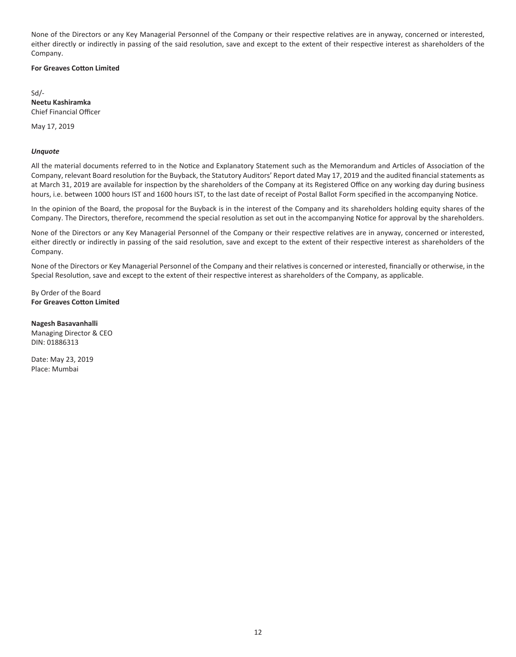None of the Directors or any Key Managerial Personnel of the Company or their respective relatives are in anyway, concerned or interested, either directly or indirectly in passing of the said resolution, save and except to the extent of their respective interest as shareholders of the Company.

## **For Greaves Cotton Limited**

Sd/- **Neetu Kashiramka** Chief Financial Officer

May 17, 2019

### *Unquote*

All the material documents referred to in the Notice and Explanatory Statement such as the Memorandum and Articles of Association of the Company, relevant Board resolution for the Buyback, the Statutory Auditors' Report dated May 17, 2019 and the audited financial statements as at March 31, 2019 are available for inspection by the shareholders of the Company at its Registered Office on any working day during business hours, i.e. between 1000 hours IST and 1600 hours IST, to the last date of receipt of Postal Ballot Form specified in the accompanying Notice.

In the opinion of the Board, the proposal for the Buyback is in the interest of the Company and its shareholders holding equity shares of the Company. The Directors, therefore, recommend the special resolution as set out in the accompanying Notice for approval by the shareholders.

None of the Directors or any Key Managerial Personnel of the Company or their respective relatives are in anyway, concerned or interested, either directly or indirectly in passing of the said resolution, save and except to the extent of their respective interest as shareholders of the Company.

None of the Directors or Key Managerial Personnel of the Company and their relatives is concerned or interested, financially or otherwise, in the Special Resolution, save and except to the extent of their respective interest as shareholders of the Company, as applicable.

By Order of the Board **For Greaves Cotton Limited**

**Nagesh Basavanhalli** Managing Director & CEO DIN: 01886313

Date: May 23, 2019 Place: Mumbai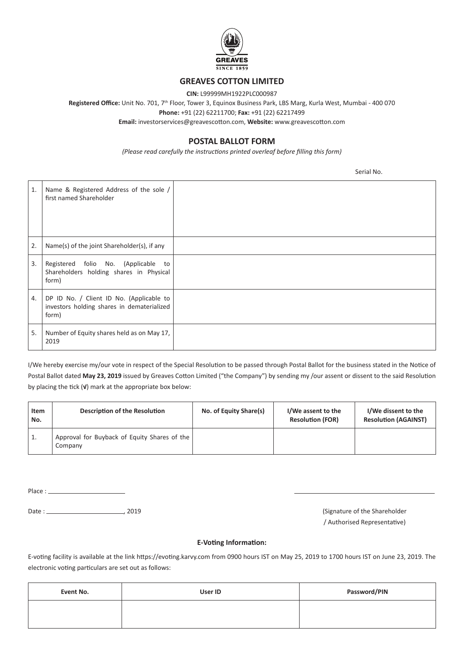

# **GREAVES COTTON LIMITED**

**CIN:** L99999MH1922PLC000987

**Registered Office:** Unit No. 701, 7th Floor, Tower 3, Equinox Business Park, LBS Marg, Kurla West, Mumbai - 400 070

**Phone:** +91 (22) 62211700; **Fax:** +91 (22) 62217499

**Email:** investorservices@greavescotton.com, **Website:** www.greavescotton.com

# **POSTAL BALLOT FORM**

*(Please read carefully the instructions printed overleaf before filling this form)*

Serial No.

| 1. | Name & Registered Address of the sole /<br>first named Shareholder                              |  |
|----|-------------------------------------------------------------------------------------------------|--|
| 2. | Name(s) of the joint Shareholder(s), if any                                                     |  |
| 3. | Registered folio No. (Applicable to<br>Shareholders holding shares in Physical<br>form)         |  |
| 4. | DP ID No. / Client ID No. (Applicable to<br>investors holding shares in dematerialized<br>form) |  |
| 5. | Number of Equity shares held as on May 17,<br>2019                                              |  |

I/We hereby exercise my/our vote in respect of the Special Resolution to be passed through Postal Ballot for the business stated in the Notice of Postal Ballot dated **May 23, 2019** issued by Greaves Cotton Limited ("the Company") by sending my /our assent or dissent to the said Resolution by placing the tick (**√**) mark at the appropriate box below:

| Item<br>No. | <b>Description of the Resolution</b>                    | No. of Equity Share(s) | I/We assent to the<br><b>Resolution (FOR)</b> | I/We dissent to the<br><b>Resolution (AGAINST)</b> |
|-------------|---------------------------------------------------------|------------------------|-----------------------------------------------|----------------------------------------------------|
| Ŧ,          | Approval for Buyback of Equity Shares of the<br>Company |                        |                                               |                                                    |

Place :

Date : (Signature of the Shareholder (Signature of the Shareholder

/ Authorised Representative)

## **E-Voting Information:**

E-voting facility is available at the link https://evoting.karvy.com from 0900 hours IST on May 25, 2019 to 1700 hours IST on June 23, 2019. The electronic voting particulars are set out as follows:

| Event No. | User ID | Password/PIN |
|-----------|---------|--------------|
|           |         |              |
|           |         |              |